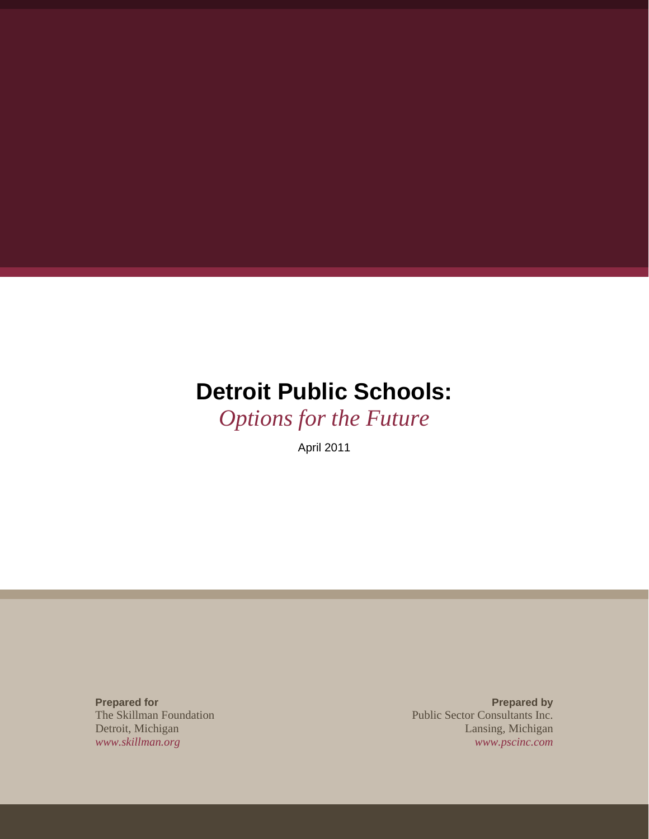# **Detroit Public Schools:**

*Options for the Future* 

April 2011

**Prepared for**  The Skillman Foundation Detroit, Michigan *www.skillman.org*

**Prepared by** Public Sector Consultants Inc. Lansing, Michigan *www.pscinc.com*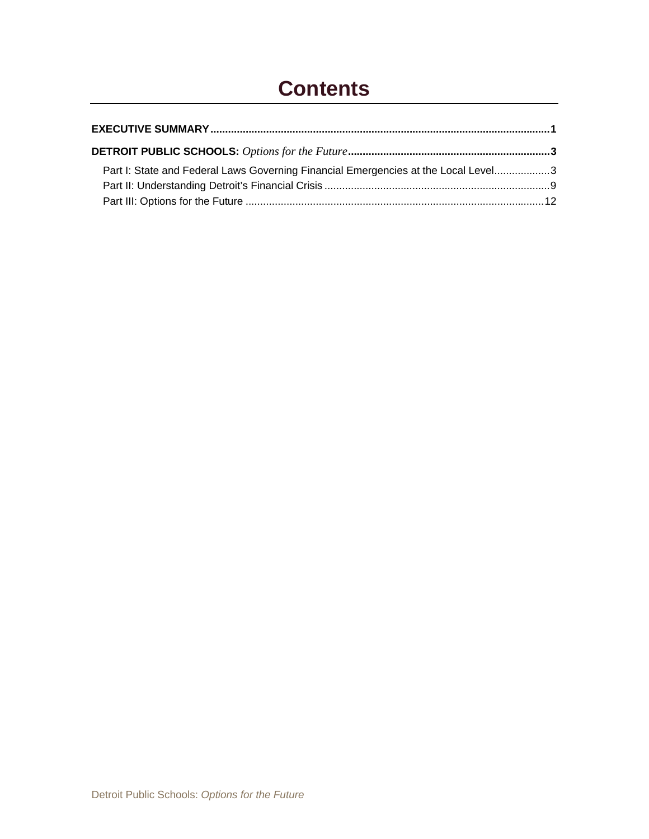## **Contents**

| Part I: State and Federal Laws Governing Financial Emergencies at the Local Level3 |  |
|------------------------------------------------------------------------------------|--|
|                                                                                    |  |
|                                                                                    |  |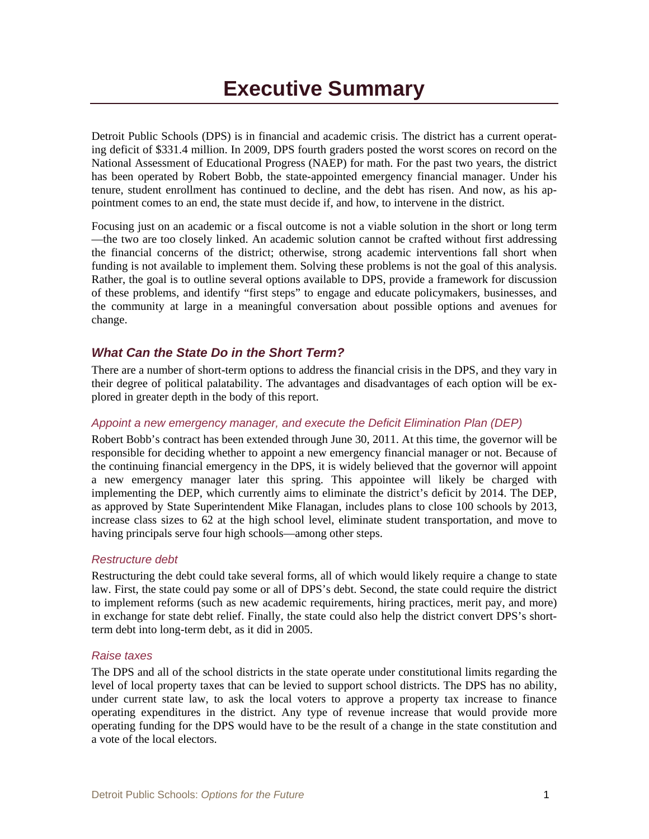Detroit Public Schools (DPS) is in financial and academic crisis. The district has a current operating deficit of \$331.4 million. In 2009, DPS fourth graders posted the worst scores on record on the National Assessment of Educational Progress (NAEP) for math. For the past two years, the district has been operated by Robert Bobb, the state-appointed emergency financial manager. Under his tenure, student enrollment has continued to decline, and the debt has risen. And now, as his appointment comes to an end, the state must decide if, and how, to intervene in the district.

Focusing just on an academic or a fiscal outcome is not a viable solution in the short or long term —the two are too closely linked. An academic solution cannot be crafted without first addressing the financial concerns of the district; otherwise, strong academic interventions fall short when funding is not available to implement them. Solving these problems is not the goal of this analysis. Rather, the goal is to outline several options available to DPS, provide a framework for discussion of these problems, and identify "first steps" to engage and educate policymakers, businesses, and the community at large in a meaningful conversation about possible options and avenues for change.

#### *What Can the State Do in the Short Term?*

There are a number of short-term options to address the financial crisis in the DPS, and they vary in their degree of political palatability. The advantages and disadvantages of each option will be explored in greater depth in the body of this report.

#### *Appoint a new emergency manager, and execute the Deficit Elimination Plan (DEP)*

Robert Bobb's contract has been extended through June 30, 2011. At this time, the governor will be responsible for deciding whether to appoint a new emergency financial manager or not. Because of the continuing financial emergency in the DPS, it is widely believed that the governor will appoint a new emergency manager later this spring. This appointee will likely be charged with implementing the DEP, which currently aims to eliminate the district's deficit by 2014. The DEP, as approved by State Superintendent Mike Flanagan, includes plans to close 100 schools by 2013, increase class sizes to 62 at the high school level, eliminate student transportation, and move to having principals serve four high schools—among other steps.

#### *Restructure debt*

Restructuring the debt could take several forms, all of which would likely require a change to state law. First, the state could pay some or all of DPS's debt. Second, the state could require the district to implement reforms (such as new academic requirements, hiring practices, merit pay, and more) in exchange for state debt relief. Finally, the state could also help the district convert DPS's shortterm debt into long-term debt, as it did in 2005.

#### *Raise taxes*

The DPS and all of the school districts in the state operate under constitutional limits regarding the level of local property taxes that can be levied to support school districts. The DPS has no ability, under current state law, to ask the local voters to approve a property tax increase to finance operating expenditures in the district. Any type of revenue increase that would provide more operating funding for the DPS would have to be the result of a change in the state constitution and a vote of the local electors.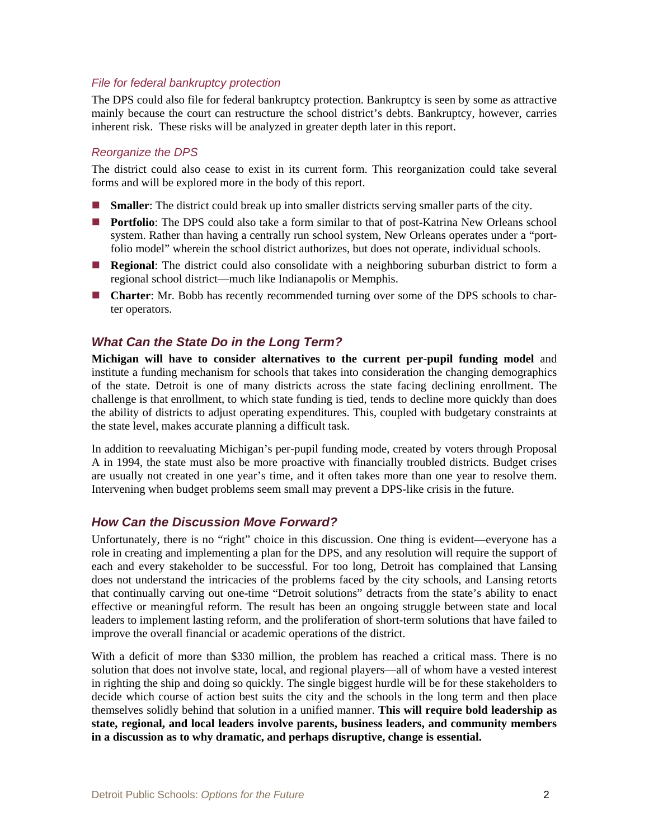#### *File for federal bankruptcy protection*

The DPS could also file for federal bankruptcy protection. Bankruptcy is seen by some as attractive mainly because the court can restructure the school district's debts. Bankruptcy, however, carries inherent risk. These risks will be analyzed in greater depth later in this report.

#### *Reorganize the DPS*

The district could also cease to exist in its current form. This reorganization could take several forms and will be explored more in the body of this report.

- **Smaller:** The district could break up into smaller districts serving smaller parts of the city.
- **Portfolio**: The DPS could also take a form similar to that of post-Katrina New Orleans school system. Rather than having a centrally run school system, New Orleans operates under a "portfolio model" wherein the school district authorizes, but does not operate, individual schools.
- **Regional:** The district could also consolidate with a neighboring suburban district to form a regional school district—much like Indianapolis or Memphis.
- **Charter**: Mr. Bobb has recently recommended turning over some of the DPS schools to charter operators.

#### *What Can the State Do in the Long Term?*

**Michigan will have to consider alternatives to the current per-pupil funding model** and institute a funding mechanism for schools that takes into consideration the changing demographics of the state. Detroit is one of many districts across the state facing declining enrollment. The challenge is that enrollment, to which state funding is tied, tends to decline more quickly than does the ability of districts to adjust operating expenditures. This, coupled with budgetary constraints at the state level, makes accurate planning a difficult task.

In addition to reevaluating Michigan's per-pupil funding mode, created by voters through Proposal A in 1994, the state must also be more proactive with financially troubled districts. Budget crises are usually not created in one year's time, and it often takes more than one year to resolve them. Intervening when budget problems seem small may prevent a DPS-like crisis in the future.

#### *How Can the Discussion Move Forward?*

Unfortunately, there is no "right" choice in this discussion. One thing is evident—everyone has a role in creating and implementing a plan for the DPS, and any resolution will require the support of each and every stakeholder to be successful. For too long, Detroit has complained that Lansing does not understand the intricacies of the problems faced by the city schools, and Lansing retorts that continually carving out one-time "Detroit solutions" detracts from the state's ability to enact effective or meaningful reform. The result has been an ongoing struggle between state and local leaders to implement lasting reform, and the proliferation of short-term solutions that have failed to improve the overall financial or academic operations of the district.

With a deficit of more than \$330 million, the problem has reached a critical mass. There is no solution that does not involve state, local, and regional players—all of whom have a vested interest in righting the ship and doing so quickly. The single biggest hurdle will be for these stakeholders to decide which course of action best suits the city and the schools in the long term and then place themselves solidly behind that solution in a unified manner. **This will require bold leadership as state, regional, and local leaders involve parents, business leaders, and community members in a discussion as to why dramatic, and perhaps disruptive, change is essential.**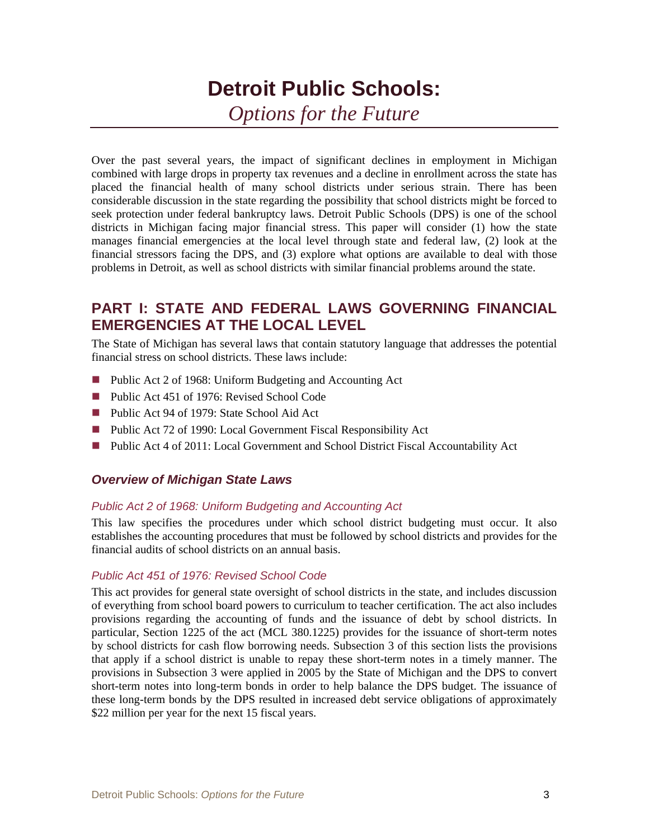## **Detroit Public Schools:**  *Options for the Future*

Over the past several years, the impact of significant declines in employment in Michigan combined with large drops in property tax revenues and a decline in enrollment across the state has placed the financial health of many school districts under serious strain. There has been considerable discussion in the state regarding the possibility that school districts might be forced to seek protection under federal bankruptcy laws. Detroit Public Schools (DPS) is one of the school districts in Michigan facing major financial stress. This paper will consider (1) how the state manages financial emergencies at the local level through state and federal law, (2) look at the financial stressors facing the DPS, and (3) explore what options are available to deal with those problems in Detroit, as well as school districts with similar financial problems around the state.

## **PART I: STATE AND FEDERAL LAWS GOVERNING FINANCIAL EMERGENCIES AT THE LOCAL LEVEL**

The State of Michigan has several laws that contain statutory language that addresses the potential financial stress on school districts. These laws include:

- Public Act 2 of 1968: Uniform Budgeting and Accounting Act
- Public Act 451 of 1976: Revised School Code
- Public Act 94 of 1979: State School Aid Act
- Public Act 72 of 1990: Local Government Fiscal Responsibility Act
- Public Act 4 of 2011: Local Government and School District Fiscal Accountability Act

#### *Overview of Michigan State Laws*

#### *Public Act 2 of 1968: Uniform Budgeting and Accounting Act*

This law specifies the procedures under which school district budgeting must occur. It also establishes the accounting procedures that must be followed by school districts and provides for the financial audits of school districts on an annual basis.

#### *Public Act 451 of 1976: Revised School Code*

This act provides for general state oversight of school districts in the state, and includes discussion of everything from school board powers to curriculum to teacher certification. The act also includes provisions regarding the accounting of funds and the issuance of debt by school districts. In particular, Section 1225 of the act (MCL 380.1225) provides for the issuance of short-term notes by school districts for cash flow borrowing needs. Subsection 3 of this section lists the provisions that apply if a school district is unable to repay these short-term notes in a timely manner. The provisions in Subsection 3 were applied in 2005 by the State of Michigan and the DPS to convert short-term notes into long-term bonds in order to help balance the DPS budget. The issuance of these long-term bonds by the DPS resulted in increased debt service obligations of approximately \$22 million per year for the next 15 fiscal years.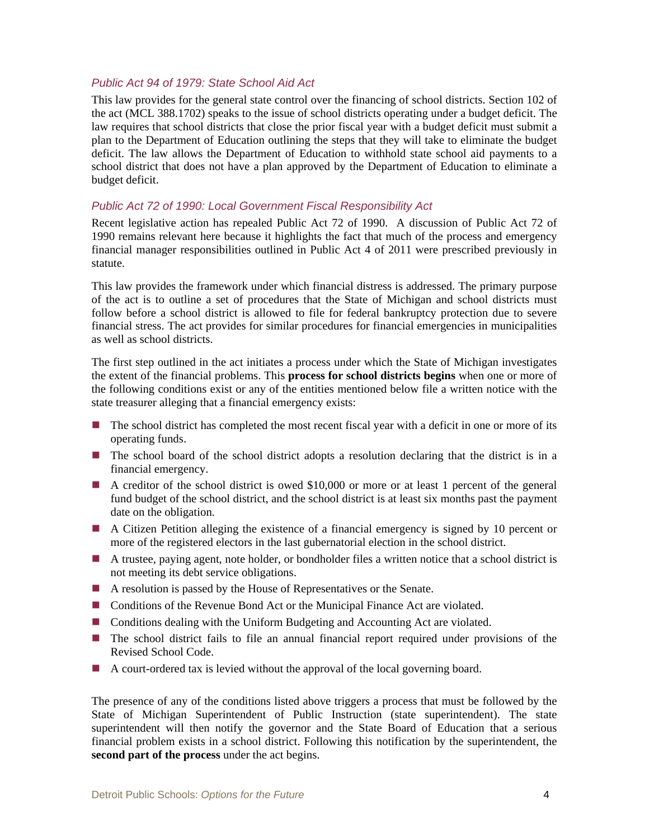#### *Public Act 94 of 1979: State School Aid Act*

This law provides for the general state control over the financing of school districts. Section 102 of the act (MCL 388.1702) speaks to the issue of school districts operating under a budget deficit. The law requires that school districts that close the prior fiscal year with a budget deficit must submit a plan to the Department of Education outlining the steps that they will take to eliminate the budget deficit. The law allows the Department of Education to withhold state school aid payments to a school district that does not have a plan approved by the Department of Education to eliminate a budget deficit.

#### *Public Act 72 of 1990: Local Government Fiscal Responsibility Act*

Recent legislative action has repealed Public Act 72 of 1990. A discussion of Public Act 72 of 1990 remains relevant here because it highlights the fact that much of the process and emergency financial manager responsibilities outlined in Public Act 4 of 2011 were prescribed previously in statute.

This law provides the framework under which financial distress is addressed. The primary purpose of the act is to outline a set of procedures that the State of Michigan and school districts must follow before a school district is allowed to file for federal bankruptcy protection due to severe financial stress. The act provides for similar procedures for financial emergencies in municipalities as well as school districts.

The first step outlined in the act initiates a process under which the State of Michigan investigates the extent of the financial problems. This **process for school districts begins** when one or more of the following conditions exist or any of the entities mentioned below file a written notice with the state treasurer alleging that a financial emergency exists:

- The school district has completed the most recent fiscal year with a deficit in one or more of its operating funds.
- The school board of the school district adopts a resolution declaring that the district is in a financial emergency.
- A creditor of the school district is owed \$10,000 or more or at least 1 percent of the general fund budget of the school district, and the school district is at least six months past the payment date on the obligation.
- A Citizen Petition alleging the existence of a financial emergency is signed by 10 percent or more of the registered electors in the last gubernatorial election in the school district.
- A trustee, paying agent, note holder, or bondholder files a written notice that a school district is not meeting its debt service obligations.
- A resolution is passed by the House of Representatives or the Senate.
- Conditions of the Revenue Bond Act or the Municipal Finance Act are violated.
- **Conditions dealing with the Uniform Budgeting and Accounting Act are violated.**
- The school district fails to file an annual financial report required under provisions of the Revised School Code.
- A court-ordered tax is levied without the approval of the local governing board.

The presence of any of the conditions listed above triggers a process that must be followed by the State of Michigan Superintendent of Public Instruction (state superintendent). The state superintendent will then notify the governor and the State Board of Education that a serious financial problem exists in a school district. Following this notification by the superintendent, the **second part of the process** under the act begins.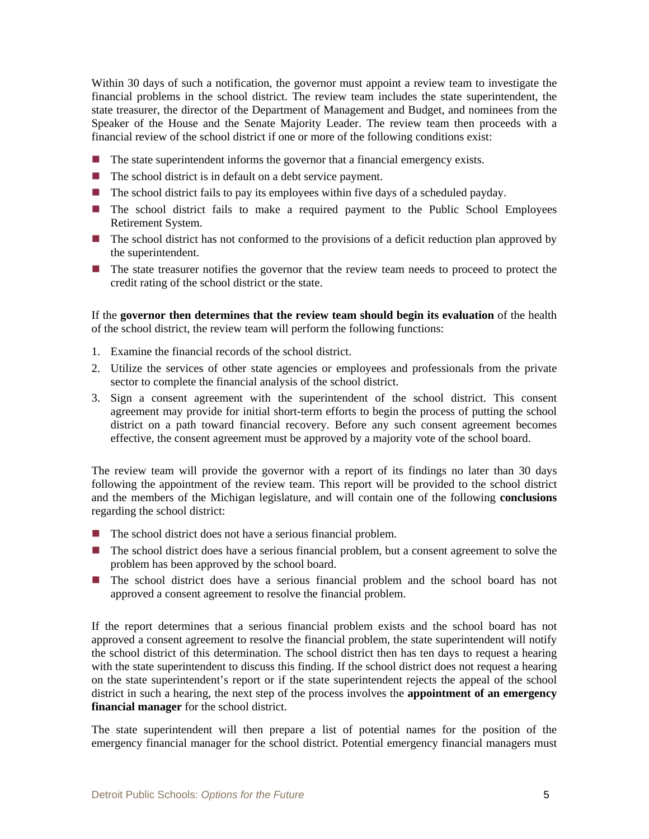Within 30 days of such a notification, the governor must appoint a review team to investigate the financial problems in the school district. The review team includes the state superintendent, the state treasurer, the director of the Department of Management and Budget, and nominees from the Speaker of the House and the Senate Majority Leader. The review team then proceeds with a financial review of the school district if one or more of the following conditions exist:

- $\blacksquare$  The state superintendent informs the governor that a financial emergency exists.
- $\blacksquare$  The school district is in default on a debt service payment.
- $\blacksquare$  The school district fails to pay its employees within five days of a scheduled payday.
- The school district fails to make a required payment to the Public School Employees Retirement System.
- The school district has not conformed to the provisions of a deficit reduction plan approved by the superintendent.
- The state treasurer notifies the governor that the review team needs to proceed to protect the credit rating of the school district or the state.

If the **governor then determines that the review team should begin its evaluation** of the health of the school district, the review team will perform the following functions:

- 1. Examine the financial records of the school district.
- 2. Utilize the services of other state agencies or employees and professionals from the private sector to complete the financial analysis of the school district.
- 3. Sign a consent agreement with the superintendent of the school district. This consent agreement may provide for initial short-term efforts to begin the process of putting the school district on a path toward financial recovery. Before any such consent agreement becomes effective, the consent agreement must be approved by a majority vote of the school board.

The review team will provide the governor with a report of its findings no later than 30 days following the appointment of the review team. This report will be provided to the school district and the members of the Michigan legislature, and will contain one of the following **conclusions** regarding the school district:

- $\blacksquare$  The school district does not have a serious financial problem.
- **The school district does have a serious financial problem, but a consent agreement to solve the** problem has been approved by the school board.
- The school district does have a serious financial problem and the school board has not approved a consent agreement to resolve the financial problem.

If the report determines that a serious financial problem exists and the school board has not approved a consent agreement to resolve the financial problem, the state superintendent will notify the school district of this determination. The school district then has ten days to request a hearing with the state superintendent to discuss this finding. If the school district does not request a hearing on the state superintendent's report or if the state superintendent rejects the appeal of the school district in such a hearing, the next step of the process involves the **appointment of an emergency financial manager** for the school district.

The state superintendent will then prepare a list of potential names for the position of the emergency financial manager for the school district. Potential emergency financial managers must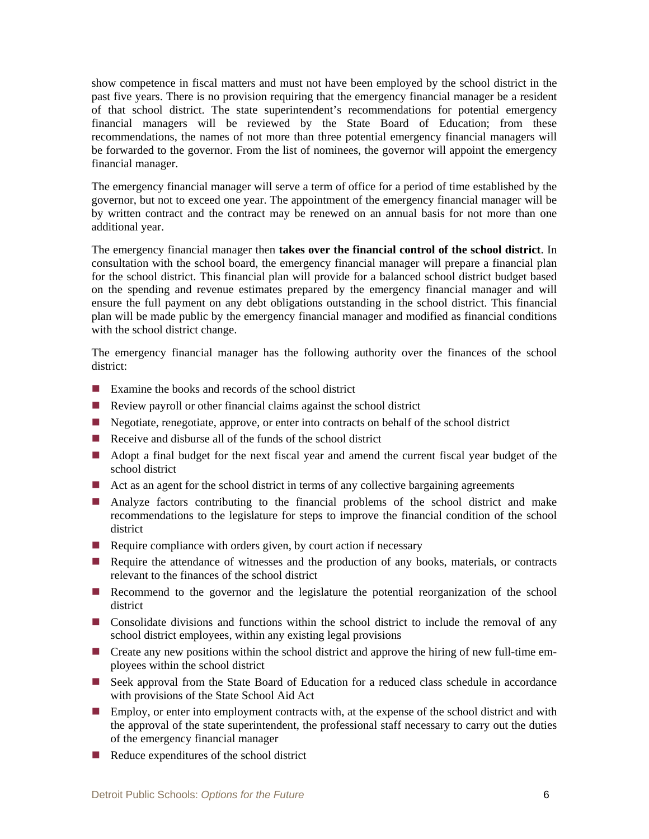show competence in fiscal matters and must not have been employed by the school district in the past five years. There is no provision requiring that the emergency financial manager be a resident of that school district. The state superintendent's recommendations for potential emergency financial managers will be reviewed by the State Board of Education; from these recommendations, the names of not more than three potential emergency financial managers will be forwarded to the governor. From the list of nominees, the governor will appoint the emergency financial manager.

The emergency financial manager will serve a term of office for a period of time established by the governor, but not to exceed one year. The appointment of the emergency financial manager will be by written contract and the contract may be renewed on an annual basis for not more than one additional year.

The emergency financial manager then **takes over the financial control of the school district**. In consultation with the school board, the emergency financial manager will prepare a financial plan for the school district. This financial plan will provide for a balanced school district budget based on the spending and revenue estimates prepared by the emergency financial manager and will ensure the full payment on any debt obligations outstanding in the school district. This financial plan will be made public by the emergency financial manager and modified as financial conditions with the school district change.

The emergency financial manager has the following authority over the finances of the school district:

- Examine the books and records of the school district
- Review payroll or other financial claims against the school district
- Negotiate, renegotiate, approve, or enter into contracts on behalf of the school district
- Receive and disburse all of the funds of the school district
- Adopt a final budget for the next fiscal year and amend the current fiscal year budget of the school district
- $\blacksquare$  Act as an agent for the school district in terms of any collective bargaining agreements
- Analyze factors contributing to the financial problems of the school district and make recommendations to the legislature for steps to improve the financial condition of the school district
- Require compliance with orders given, by court action if necessary
- Require the attendance of witnesses and the production of any books, materials, or contracts relevant to the finances of the school district
- Recommend to the governor and the legislature the potential reorganization of the school district
- **O** Consolidate divisions and functions within the school district to include the removal of any school district employees, within any existing legal provisions
- Create any new positions within the school district and approve the hiring of new full-time employees within the school district
- Seek approval from the State Board of Education for a reduced class schedule in accordance with provisions of the State School Aid Act
- **Employ, or enter into employment contracts with, at the expense of the school district and with** the approval of the state superintendent, the professional staff necessary to carry out the duties of the emergency financial manager
- $\blacksquare$  Reduce expenditures of the school district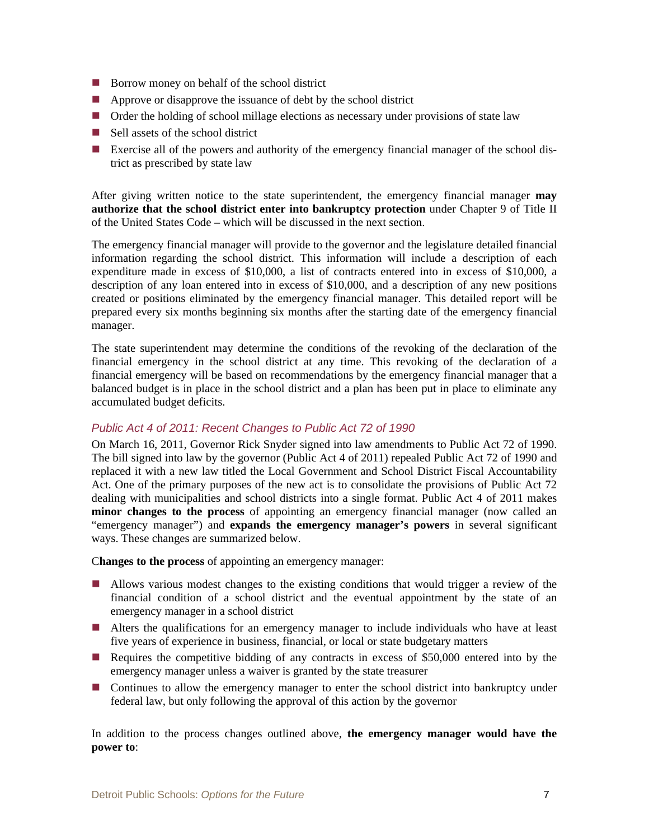- Borrow money on behalf of the school district
- **Approve or disapprove the issuance of debt by the school district**
- Order the holding of school millage elections as necessary under provisions of state law
- $\blacksquare$  Sell assets of the school district
- Exercise all of the powers and authority of the emergency financial manager of the school district as prescribed by state law

After giving written notice to the state superintendent, the emergency financial manager **may authorize that the school district enter into bankruptcy protection** under Chapter 9 of Title II of the United States Code – which will be discussed in the next section.

The emergency financial manager will provide to the governor and the legislature detailed financial information regarding the school district. This information will include a description of each expenditure made in excess of \$10,000, a list of contracts entered into in excess of \$10,000, a description of any loan entered into in excess of \$10,000, and a description of any new positions created or positions eliminated by the emergency financial manager. This detailed report will be prepared every six months beginning six months after the starting date of the emergency financial manager.

The state superintendent may determine the conditions of the revoking of the declaration of the financial emergency in the school district at any time. This revoking of the declaration of a financial emergency will be based on recommendations by the emergency financial manager that a balanced budget is in place in the school district and a plan has been put in place to eliminate any accumulated budget deficits.

#### *Public Act 4 of 2011: Recent Changes to Public Act 72 of 1990*

On March 16, 2011, Governor Rick Snyder signed into law amendments to Public Act 72 of 1990. The bill signed into law by the governor (Public Act 4 of 2011) repealed Public Act 72 of 1990 and replaced it with a new law titled the Local Government and School District Fiscal Accountability Act. One of the primary purposes of the new act is to consolidate the provisions of Public Act 72 dealing with municipalities and school districts into a single format. Public Act 4 of 2011 makes **minor changes to the process** of appointing an emergency financial manager (now called an "emergency manager") and **expands the emergency manager's powers** in several significant ways. These changes are summarized below.

C**hanges to the process** of appointing an emergency manager:

- Allows various modest changes to the existing conditions that would trigger a review of the financial condition of a school district and the eventual appointment by the state of an emergency manager in a school district
- Alters the qualifications for an emergency manager to include individuals who have at least five years of experience in business, financial, or local or state budgetary matters
- Requires the competitive bidding of any contracts in excess of \$50,000 entered into by the emergency manager unless a waiver is granted by the state treasurer
- Continues to allow the emergency manager to enter the school district into bankruptcy under federal law, but only following the approval of this action by the governor

In addition to the process changes outlined above, **the emergency manager would have the power to**: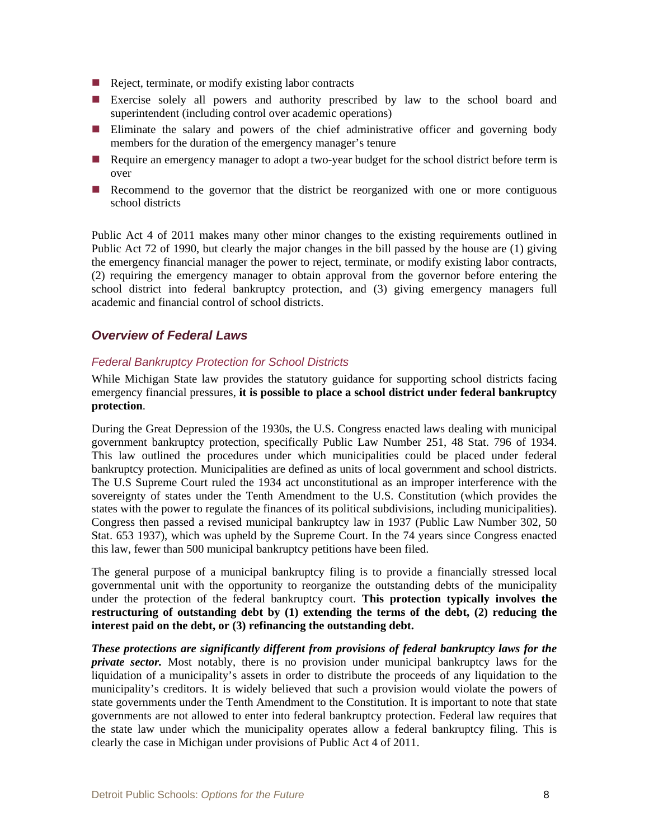- $\blacksquare$  Reject, terminate, or modify existing labor contracts
- Exercise solely all powers and authority prescribed by law to the school board and superintendent (including control over academic operations)
- Eliminate the salary and powers of the chief administrative officer and governing body members for the duration of the emergency manager's tenure
- Require an emergency manager to adopt a two-year budget for the school district before term is over
- Recommend to the governor that the district be reorganized with one or more contiguous school districts

Public Act 4 of 2011 makes many other minor changes to the existing requirements outlined in Public Act 72 of 1990, but clearly the major changes in the bill passed by the house are (1) giving the emergency financial manager the power to reject, terminate, or modify existing labor contracts, (2) requiring the emergency manager to obtain approval from the governor before entering the school district into federal bankruptcy protection, and (3) giving emergency managers full academic and financial control of school districts.

#### *Overview of Federal Laws*

#### *Federal Bankruptcy Protection for School Districts*

While Michigan State law provides the statutory guidance for supporting school districts facing emergency financial pressures, **it is possible to place a school district under federal bankruptcy protection**.

During the Great Depression of the 1930s, the U.S. Congress enacted laws dealing with municipal government bankruptcy protection, specifically Public Law Number 251, 48 Stat. 796 of 1934. This law outlined the procedures under which municipalities could be placed under federal bankruptcy protection. Municipalities are defined as units of local government and school districts. The U.S Supreme Court ruled the 1934 act unconstitutional as an improper interference with the sovereignty of states under the Tenth Amendment to the U.S. Constitution (which provides the states with the power to regulate the finances of its political subdivisions, including municipalities). Congress then passed a revised municipal bankruptcy law in 1937 (Public Law Number 302, 50 Stat. 653 1937), which was upheld by the Supreme Court. In the 74 years since Congress enacted this law, fewer than 500 municipal bankruptcy petitions have been filed.

The general purpose of a municipal bankruptcy filing is to provide a financially stressed local governmental unit with the opportunity to reorganize the outstanding debts of the municipality under the protection of the federal bankruptcy court. **This protection typically involves the restructuring of outstanding debt by (1) extending the terms of the debt, (2) reducing the interest paid on the debt, or (3) refinancing the outstanding debt.**

*These protections are significantly different from provisions of federal bankruptcy laws for the private sector.* Most notably, there is no provision under municipal bankruptcy laws for the liquidation of a municipality's assets in order to distribute the proceeds of any liquidation to the municipality's creditors. It is widely believed that such a provision would violate the powers of state governments under the Tenth Amendment to the Constitution. It is important to note that state governments are not allowed to enter into federal bankruptcy protection. Federal law requires that the state law under which the municipality operates allow a federal bankruptcy filing. This is clearly the case in Michigan under provisions of Public Act 4 of 2011.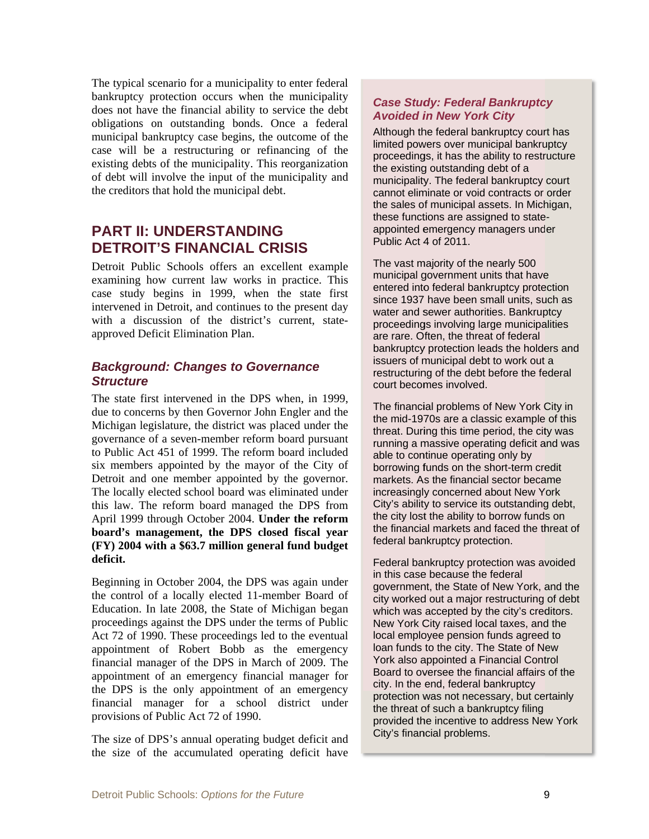The typical scenario for a municipality to enter federal bankruptcy protection occurs when the municipality does not have the financial ability to service the debt obligations on outstanding bonds. Once a federal municipal bankruptcy case begins, the outcome of the case will be a restructuring or refinancing of the existing debts of the municipality. This reorganization of debt will involve the input of the municipality and the creditors that hold the municipal debt.

### **PART II: UNDERSTANDING DETROIT'S FINANCIAL CRISIS**

Detroit Public Schools offers an excellent example examining how current law works in practice. This case study begins in 1999, when the state first intervened in Detroit, and continues to the present day with a discussion of the district's current, stateapproved Deficit Elimination Plan.

#### **Background: Changes to Governance Structure**

The state first intervened in the DPS when, in 1999, due to concerns by then Governor John Engler and the Michigan legislature, the district was placed under the governance of a seven-member reform board pursuant to Public Act 451 of 1999. The reform board included six members appointed by the mayor of the City of Detroit and one member appointed by the governor. The locally elected school board was eliminated under this law. The reform board managed the DPS from April 1999 through October 2004. Under the reform board's management, the DPS closed fiscal year (FY) 2004 with a \$63.7 million general fund budget deficit.

Beginning in October 2004, the DPS was again under the control of a locally elected 11-member Board of Education. In late 2008, the State of Michigan began proceedings against the DPS under the terms of Public Act 72 of 1990. These proceedings led to the eventual appointment of Robert Bobb as the emergency financial manager of the DPS in March of 2009. The appointment of an emergency financial manager for the DPS is the only appointment of an emergency financial manager for a school district under provisions of Public Act 72 of 1990.

The size of DPS's annual operating budget deficit and the size of the accumulated operating deficit have

#### **Case Study: Federal Bankruptcy Avoided in New York City**

Although the federal bankruptcy court has limited powers over municipal bankruptcy proceedings, it has the ability to restructure the existing outstanding debt of a municipality. The federal bankruptcy court cannot eliminate or void contracts or order the sales of municipal assets. In Michigan, these functions are assigned to stateappointed emergency managers under Public Act 4 of 2011.

The vast majority of the nearly 500 municipal government units that have entered into federal bankruptcy protection since 1937 have been small units, such as water and sewer authorities. Bankruptcy proceedings involving large municipalities are rare. Often, the threat of federal bankruptcy protection leads the holders and issuers of municipal debt to work out a restructuring of the debt before the federal court becomes involved.

The financial problems of New York City in the mid-1970s are a classic example of this threat. During this time period, the city was running a massive operating deficit and was able to continue operating only by borrowing funds on the short-term credit markets. As the financial sector became increasingly concerned about New York City's ability to service its outstanding debt, the city lost the ability to borrow funds on the financial markets and faced the threat of federal bankruptcy protection.

Federal bankruptcy protection was avoided in this case because the federal government, the State of New York, and the city worked out a major restructuring of debt which was accepted by the city's creditors. New York City raised local taxes, and the local employee pension funds agreed to loan funds to the city. The State of New York also appointed a Financial Control Board to oversee the financial affairs of the city. In the end, federal bankruptcy protection was not necessary, but certainly the threat of such a bankruptcy filing provided the incentive to address New York City's financial problems.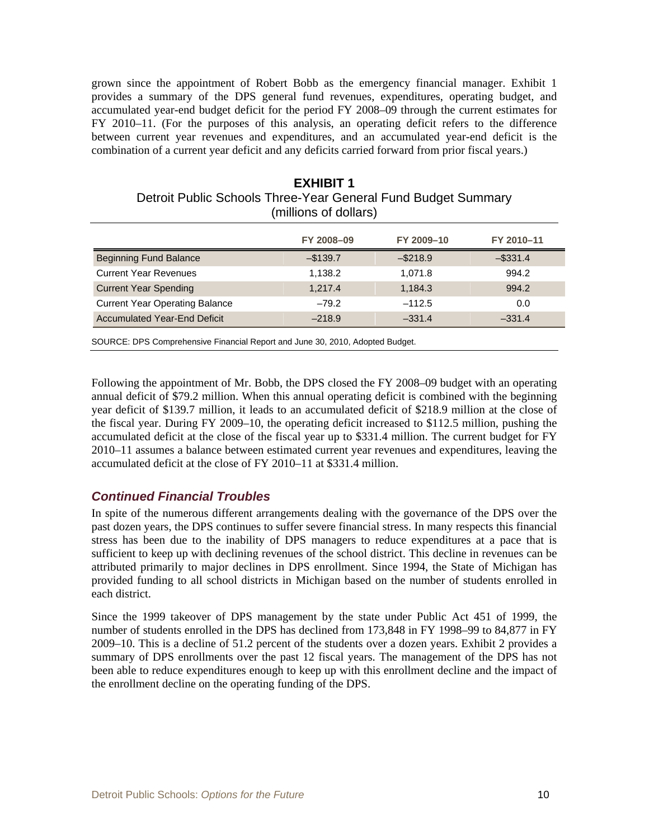grown since the appointment of Robert Bobb as the emergency financial manager. Exhibit 1 provides a summary of the DPS general fund revenues, expenditures, operating budget, and accumulated year-end budget deficit for the period FY 2008–09 through the current estimates for FY 2010–11. (For the purposes of this analysis, an operating deficit refers to the difference between current year revenues and expenditures, and an accumulated year-end deficit is the combination of a current year deficit and any deficits carried forward from prior fiscal years.)

| (millions of dollars)                 |            |             |             |  |
|---------------------------------------|------------|-------------|-------------|--|
|                                       | FY 2008-09 | FY 2009-10  | FY 2010-11  |  |
| <b>Beginning Fund Balance</b>         | $-$139.7$  | $-$ \$218.9 | $-$ \$331.4 |  |
| <b>Current Year Revenues</b>          | 1.138.2    | 1.071.8     | 994.2       |  |
| <b>Current Year Spending</b>          | 1.217.4    | 1,184.3     | 994.2       |  |
| <b>Current Year Operating Balance</b> | $-79.2$    | $-112.5$    | 0.0         |  |
| <b>Accumulated Year-End Deficit</b>   | $-218.9$   | $-331.4$    | $-331.4$    |  |

## **EXHIBIT 1**  Detroit Public Schools Three-Year General Fund Budget Summary

SOURCE: DPS Comprehensive Financial Report and June 30, 2010, Adopted Budget.

Following the appointment of Mr. Bobb, the DPS closed the FY 2008–09 budget with an operating annual deficit of \$79.2 million. When this annual operating deficit is combined with the beginning year deficit of \$139.7 million, it leads to an accumulated deficit of \$218.9 million at the close of the fiscal year. During FY 2009–10, the operating deficit increased to \$112.5 million, pushing the accumulated deficit at the close of the fiscal year up to \$331.4 million. The current budget for FY 2010–11 assumes a balance between estimated current year revenues and expenditures, leaving the accumulated deficit at the close of FY 2010–11 at \$331.4 million.

#### *Continued Financial Troubles*

In spite of the numerous different arrangements dealing with the governance of the DPS over the past dozen years, the DPS continues to suffer severe financial stress. In many respects this financial stress has been due to the inability of DPS managers to reduce expenditures at a pace that is sufficient to keep up with declining revenues of the school district. This decline in revenues can be attributed primarily to major declines in DPS enrollment. Since 1994, the State of Michigan has provided funding to all school districts in Michigan based on the number of students enrolled in each district.

Since the 1999 takeover of DPS management by the state under Public Act 451 of 1999, the number of students enrolled in the DPS has declined from 173,848 in FY 1998–99 to 84,877 in FY 2009–10. This is a decline of 51.2 percent of the students over a dozen years. Exhibit 2 provides a summary of DPS enrollments over the past 12 fiscal years. The management of the DPS has not been able to reduce expenditures enough to keep up with this enrollment decline and the impact of the enrollment decline on the operating funding of the DPS.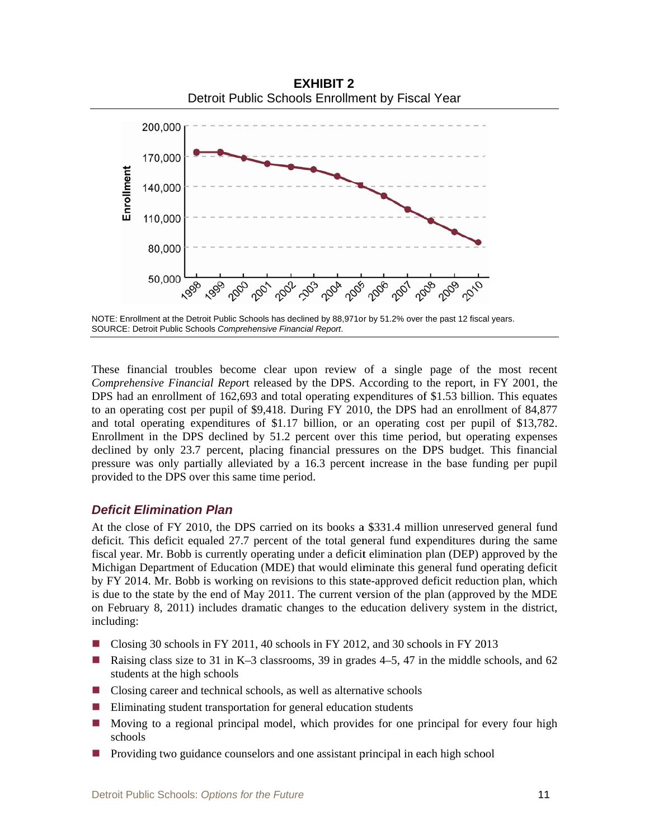

NOTE: Enrollment at the Detroit Public Schools has declined by 88,971 or by 51.2% over the past 12 fiscal years. SOURCE: Detroit Public Schools Comprehensive Financial Report.

These financial troubles become clear upon review of a single page of the most recent Comprehensive Financial Report released by the DPS. According to the report, in FY 2001, the DPS had an enrollment of 162,693 and total operating expenditures of \$1.53 billion. This equates to an operating cost per pupil of \$9,418. During FY 2010, the DPS had an enrollment of 84,877 and total operating expenditures of \$1.17 billion, or an operating cost per pupil of \$13,782. Enrollment in the DPS declined by 51.2 percent over this time period, but operating expenses declined by only 23.7 percent, placing financial pressures on the DPS budget. This financial pressure was only partially alleviated by a 16.3 percent increase in the base funding per pupil provided to the DPS over this same time period.

#### **Deficit Elimination Plan**

At the close of FY 2010, the DPS carried on its books a \$331.4 million unreserved general fund deficit. This deficit equaled 27.7 percent of the total general fund expenditures during the same fiscal year. Mr. Bobb is currently operating under a deficit elimination plan (DEP) approved by the Michigan Department of Education (MDE) that would eliminate this general fund operating deficit by FY 2014. Mr. Bobb is working on revisions to this state-approved deficit reduction plan, which is due to the state by the end of May 2011. The current version of the plan (approved by the MDE on February 8, 2011) includes dramatic changes to the education delivery system in the district, including:

- Closing 30 schools in FY 2011, 40 schools in FY 2012, and 30 schools in FY 2013
- Raising class size to 31 in K-3 classrooms, 39 in grades  $4-5$ , 47 in the middle schools, and 62  $\mathcal{L}_{\text{max}}$ students at the high schools
- $\Box$  Closing career and technical schools, as well as alternative schools
- $\blacksquare$  Eliminating student transportation for general education students
- Moving to a regional principal model, which provides for one principal for every four high  $\mathcal{L}(\mathcal{A})$ schools
- Providing two guidance counselors and one assistant principal in each high school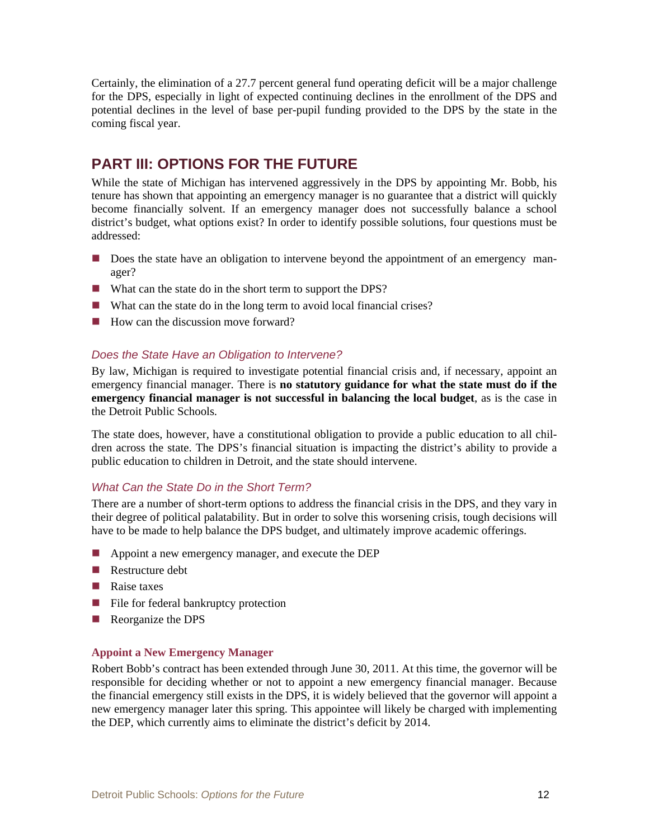Certainly, the elimination of a 27.7 percent general fund operating deficit will be a major challenge for the DPS, especially in light of expected continuing declines in the enrollment of the DPS and potential declines in the level of base per-pupil funding provided to the DPS by the state in the coming fiscal year.

### **PART III: OPTIONS FOR THE FUTURE**

While the state of Michigan has intervened aggressively in the DPS by appointing Mr. Bobb, his tenure has shown that appointing an emergency manager is no guarantee that a district will quickly become financially solvent. If an emergency manager does not successfully balance a school district's budget, what options exist? In order to identify possible solutions, four questions must be addressed:

- Does the state have an obligation to intervene beyond the appointment of an emergency manager?
- What can the state do in the short term to support the DPS?
- What can the state do in the long term to avoid local financial crises?
- $\blacksquare$  How can the discussion move forward?

#### *Does the State Have an Obligation to Intervene?*

By law, Michigan is required to investigate potential financial crisis and, if necessary, appoint an emergency financial manager. There is **no statutory guidance for what the state must do if the emergency financial manager is not successful in balancing the local budget**, as is the case in the Detroit Public Schools.

The state does, however, have a constitutional obligation to provide a public education to all children across the state. The DPS's financial situation is impacting the district's ability to provide a public education to children in Detroit, and the state should intervene.

#### *What Can the State Do in the Short Term?*

There are a number of short-term options to address the financial crisis in the DPS, and they vary in their degree of political palatability. But in order to solve this worsening crisis, tough decisions will have to be made to help balance the DPS budget, and ultimately improve academic offerings.

- Appoint a new emergency manager, and execute the DEP
- Restructure debt
- Raise taxes
- File for federal bankruptcy protection
- Reorganize the DPS

#### **Appoint a New Emergency Manager**

Robert Bobb's contract has been extended through June 30, 2011. At this time, the governor will be responsible for deciding whether or not to appoint a new emergency financial manager. Because the financial emergency still exists in the DPS, it is widely believed that the governor will appoint a new emergency manager later this spring. This appointee will likely be charged with implementing the DEP, which currently aims to eliminate the district's deficit by 2014.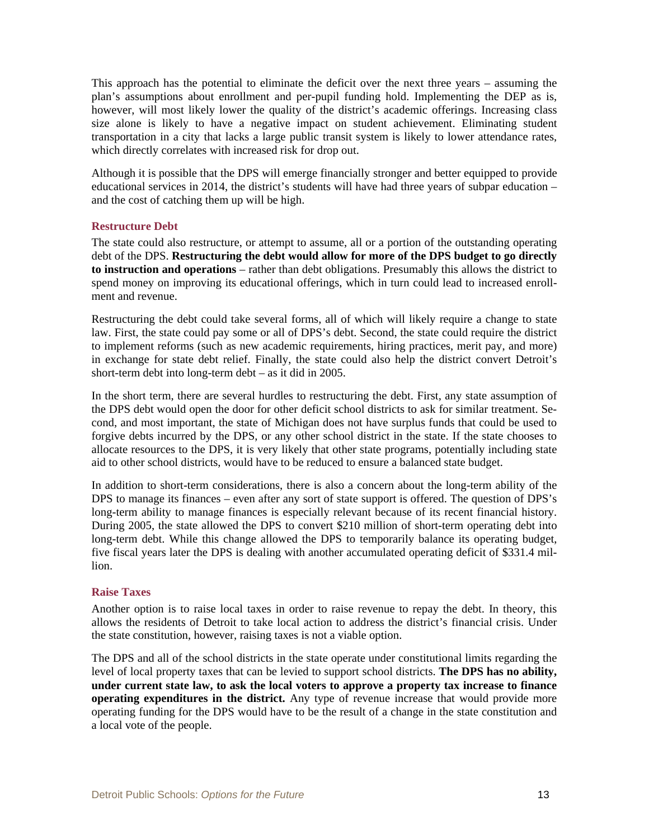This approach has the potential to eliminate the deficit over the next three years – assuming the plan's assumptions about enrollment and per-pupil funding hold. Implementing the DEP as is, however, will most likely lower the quality of the district's academic offerings. Increasing class size alone is likely to have a negative impact on student achievement. Eliminating student transportation in a city that lacks a large public transit system is likely to lower attendance rates, which directly correlates with increased risk for drop out.

Although it is possible that the DPS will emerge financially stronger and better equipped to provide educational services in 2014, the district's students will have had three years of subpar education – and the cost of catching them up will be high.

#### **Restructure Debt**

The state could also restructure, or attempt to assume, all or a portion of the outstanding operating debt of the DPS. **Restructuring the debt would allow for more of the DPS budget to go directly to instruction and operations** – rather than debt obligations. Presumably this allows the district to spend money on improving its educational offerings, which in turn could lead to increased enrollment and revenue.

Restructuring the debt could take several forms, all of which will likely require a change to state law. First, the state could pay some or all of DPS's debt. Second, the state could require the district to implement reforms (such as new academic requirements, hiring practices, merit pay, and more) in exchange for state debt relief. Finally, the state could also help the district convert Detroit's short-term debt into long-term debt – as it did in 2005.

In the short term, there are several hurdles to restructuring the debt. First, any state assumption of the DPS debt would open the door for other deficit school districts to ask for similar treatment. Second, and most important, the state of Michigan does not have surplus funds that could be used to forgive debts incurred by the DPS, or any other school district in the state. If the state chooses to allocate resources to the DPS, it is very likely that other state programs, potentially including state aid to other school districts, would have to be reduced to ensure a balanced state budget.

In addition to short-term considerations, there is also a concern about the long-term ability of the DPS to manage its finances – even after any sort of state support is offered. The question of DPS's long-term ability to manage finances is especially relevant because of its recent financial history. During 2005, the state allowed the DPS to convert \$210 million of short-term operating debt into long-term debt. While this change allowed the DPS to temporarily balance its operating budget, five fiscal years later the DPS is dealing with another accumulated operating deficit of \$331.4 million.

#### **Raise Taxes**

Another option is to raise local taxes in order to raise revenue to repay the debt. In theory, this allows the residents of Detroit to take local action to address the district's financial crisis. Under the state constitution, however, raising taxes is not a viable option.

The DPS and all of the school districts in the state operate under constitutional limits regarding the level of local property taxes that can be levied to support school districts. **The DPS has no ability, under current state law, to ask the local voters to approve a property tax increase to finance operating expenditures in the district.** Any type of revenue increase that would provide more operating funding for the DPS would have to be the result of a change in the state constitution and a local vote of the people.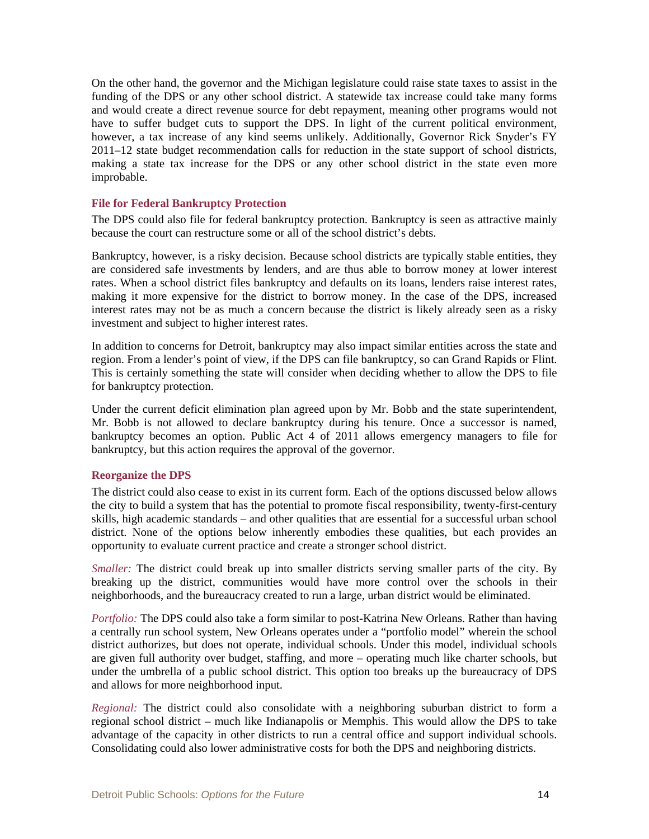On the other hand, the governor and the Michigan legislature could raise state taxes to assist in the funding of the DPS or any other school district. A statewide tax increase could take many forms and would create a direct revenue source for debt repayment, meaning other programs would not have to suffer budget cuts to support the DPS. In light of the current political environment, however, a tax increase of any kind seems unlikely. Additionally, Governor Rick Snyder's FY 2011–12 state budget recommendation calls for reduction in the state support of school districts, making a state tax increase for the DPS or any other school district in the state even more improbable.

#### **File for Federal Bankruptcy Protection**

The DPS could also file for federal bankruptcy protection. Bankruptcy is seen as attractive mainly because the court can restructure some or all of the school district's debts.

Bankruptcy, however, is a risky decision. Because school districts are typically stable entities, they are considered safe investments by lenders, and are thus able to borrow money at lower interest rates. When a school district files bankruptcy and defaults on its loans, lenders raise interest rates, making it more expensive for the district to borrow money. In the case of the DPS, increased interest rates may not be as much a concern because the district is likely already seen as a risky investment and subject to higher interest rates.

In addition to concerns for Detroit, bankruptcy may also impact similar entities across the state and region. From a lender's point of view, if the DPS can file bankruptcy, so can Grand Rapids or Flint. This is certainly something the state will consider when deciding whether to allow the DPS to file for bankruptcy protection.

Under the current deficit elimination plan agreed upon by Mr. Bobb and the state superintendent, Mr. Bobb is not allowed to declare bankruptcy during his tenure. Once a successor is named, bankruptcy becomes an option. Public Act 4 of 2011 allows emergency managers to file for bankruptcy, but this action requires the approval of the governor.

#### **Reorganize the DPS**

The district could also cease to exist in its current form. Each of the options discussed below allows the city to build a system that has the potential to promote fiscal responsibility, twenty-first-century skills, high academic standards – and other qualities that are essential for a successful urban school district. None of the options below inherently embodies these qualities, but each provides an opportunity to evaluate current practice and create a stronger school district.

*Smaller:* The district could break up into smaller districts serving smaller parts of the city. By breaking up the district, communities would have more control over the schools in their neighborhoods, and the bureaucracy created to run a large, urban district would be eliminated.

*Portfolio:* The DPS could also take a form similar to post-Katrina New Orleans. Rather than having a centrally run school system, New Orleans operates under a "portfolio model" wherein the school district authorizes, but does not operate, individual schools. Under this model, individual schools are given full authority over budget, staffing, and more – operating much like charter schools, but under the umbrella of a public school district. This option too breaks up the bureaucracy of DPS and allows for more neighborhood input.

*Regional:* The district could also consolidate with a neighboring suburban district to form a regional school district – much like Indianapolis or Memphis. This would allow the DPS to take advantage of the capacity in other districts to run a central office and support individual schools. Consolidating could also lower administrative costs for both the DPS and neighboring districts.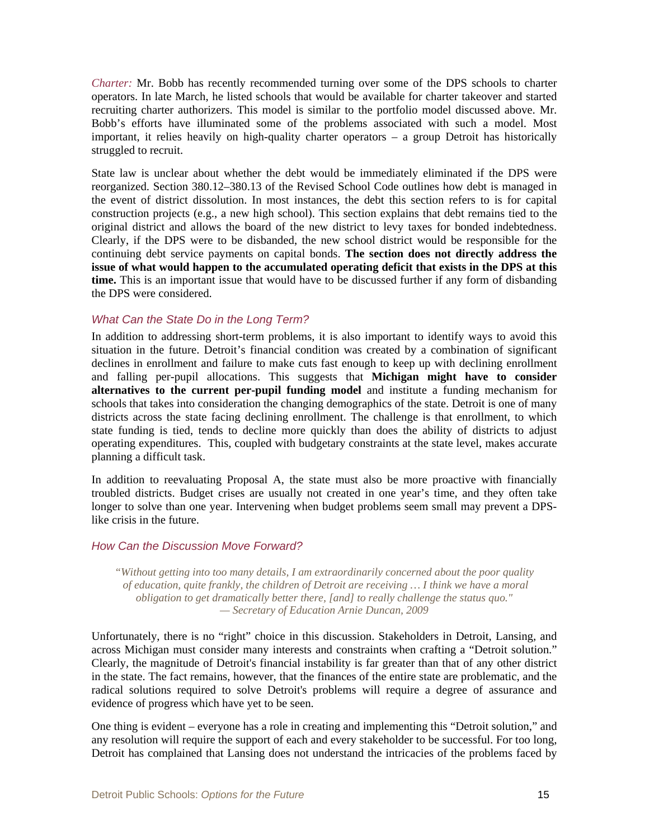*Charter:* Mr. Bobb has recently recommended turning over some of the DPS schools to charter operators. In late March, he listed schools that would be available for charter takeover and started recruiting charter authorizers. This model is similar to the portfolio model discussed above. Mr. Bobb's efforts have illuminated some of the problems associated with such a model. Most important, it relies heavily on high-quality charter operators – a group Detroit has historically struggled to recruit.

State law is unclear about whether the debt would be immediately eliminated if the DPS were reorganized. Section 380.12–380.13 of the Revised School Code outlines how debt is managed in the event of district dissolution. In most instances, the debt this section refers to is for capital construction projects (e.g., a new high school). This section explains that debt remains tied to the original district and allows the board of the new district to levy taxes for bonded indebtedness. Clearly, if the DPS were to be disbanded, the new school district would be responsible for the continuing debt service payments on capital bonds. **The section does not directly address the issue of what would happen to the accumulated operating deficit that exists in the DPS at this time.** This is an important issue that would have to be discussed further if any form of disbanding the DPS were considered.

#### *What Can the State Do in the Long Term?*

In addition to addressing short-term problems, it is also important to identify ways to avoid this situation in the future. Detroit's financial condition was created by a combination of significant declines in enrollment and failure to make cuts fast enough to keep up with declining enrollment and falling per-pupil allocations. This suggests that **Michigan might have to consider alternatives to the current per-pupil funding model** and institute a funding mechanism for schools that takes into consideration the changing demographics of the state. Detroit is one of many districts across the state facing declining enrollment. The challenge is that enrollment, to which state funding is tied, tends to decline more quickly than does the ability of districts to adjust operating expenditures. This, coupled with budgetary constraints at the state level, makes accurate planning a difficult task.

In addition to reevaluating Proposal A, the state must also be more proactive with financially troubled districts. Budget crises are usually not created in one year's time, and they often take longer to solve than one year. Intervening when budget problems seem small may prevent a DPSlike crisis in the future.

#### *How Can the Discussion Move Forward?*

*"Without getting into too many details, I am extraordinarily concerned about the poor quality of education, quite frankly, the children of Detroit are receiving … I think we have a moral obligation to get dramatically better there, [and] to really challenge the status quo." — Secretary of Education Arnie Duncan, 2009* 

Unfortunately, there is no "right" choice in this discussion. Stakeholders in Detroit, Lansing, and across Michigan must consider many interests and constraints when crafting a "Detroit solution." Clearly, the magnitude of Detroit's financial instability is far greater than that of any other district in the state. The fact remains, however, that the finances of the entire state are problematic, and the radical solutions required to solve Detroit's problems will require a degree of assurance and evidence of progress which have yet to be seen.

One thing is evident – everyone has a role in creating and implementing this "Detroit solution," and any resolution will require the support of each and every stakeholder to be successful. For too long, Detroit has complained that Lansing does not understand the intricacies of the problems faced by